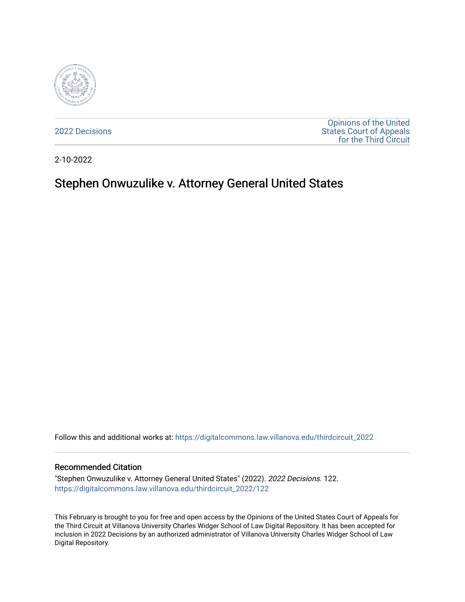

[2022 Decisions](https://digitalcommons.law.villanova.edu/thirdcircuit_2022)

[Opinions of the United](https://digitalcommons.law.villanova.edu/thirdcircuit)  [States Court of Appeals](https://digitalcommons.law.villanova.edu/thirdcircuit)  [for the Third Circuit](https://digitalcommons.law.villanova.edu/thirdcircuit) 

2-10-2022

## Stephen Onwuzulike v. Attorney General United States

Follow this and additional works at: [https://digitalcommons.law.villanova.edu/thirdcircuit\\_2022](https://digitalcommons.law.villanova.edu/thirdcircuit_2022?utm_source=digitalcommons.law.villanova.edu%2Fthirdcircuit_2022%2F122&utm_medium=PDF&utm_campaign=PDFCoverPages) 

## Recommended Citation

"Stephen Onwuzulike v. Attorney General United States" (2022). 2022 Decisions. 122. [https://digitalcommons.law.villanova.edu/thirdcircuit\\_2022/122](https://digitalcommons.law.villanova.edu/thirdcircuit_2022/122?utm_source=digitalcommons.law.villanova.edu%2Fthirdcircuit_2022%2F122&utm_medium=PDF&utm_campaign=PDFCoverPages)

This February is brought to you for free and open access by the Opinions of the United States Court of Appeals for the Third Circuit at Villanova University Charles Widger School of Law Digital Repository. It has been accepted for inclusion in 2022 Decisions by an authorized administrator of Villanova University Charles Widger School of Law Digital Repository.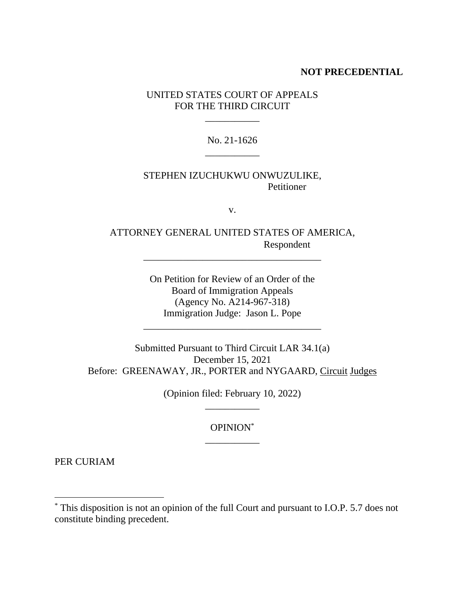## **NOT PRECEDENTIAL**

UNITED STATES COURT OF APPEALS FOR THE THIRD CIRCUIT

\_\_\_\_\_\_\_\_\_\_\_

No. 21-1626 \_\_\_\_\_\_\_\_\_\_\_

## STEPHEN IZUCHUKWU ONWUZULIKE, Petitioner

v.

ATTORNEY GENERAL UNITED STATES OF AMERICA, Respondent

\_\_\_\_\_\_\_\_\_\_\_\_\_\_\_\_\_\_\_\_\_\_\_\_\_\_\_\_\_\_\_\_\_\_\_\_

On Petition for Review of an Order of the Board of Immigration Appeals (Agency No. A214-967-318) Immigration Judge: Jason L. Pope

\_\_\_\_\_\_\_\_\_\_\_\_\_\_\_\_\_\_\_\_\_\_\_\_\_\_\_\_\_\_\_\_\_\_\_\_

Submitted Pursuant to Third Circuit LAR 34.1(a) December 15, 2021 Before: GREENAWAY, JR., PORTER and NYGAARD, Circuit Judges

> (Opinion filed: February 10, 2022) \_\_\_\_\_\_\_\_\_\_\_

> > OPINION\* \_\_\_\_\_\_\_\_\_\_\_

PER CURIAM

<sup>\*</sup> This disposition is not an opinion of the full Court and pursuant to I.O.P. 5.7 does not constitute binding precedent.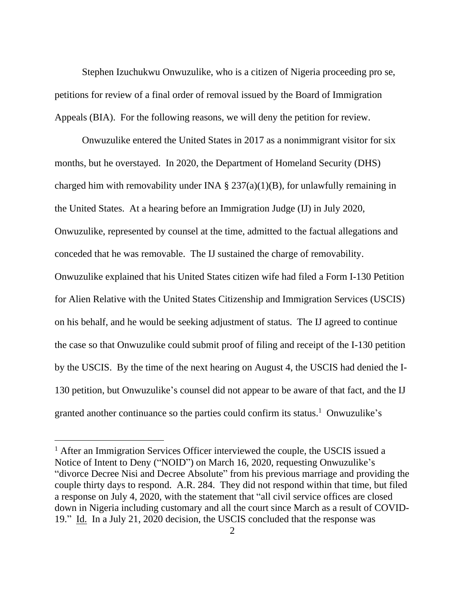Stephen Izuchukwu Onwuzulike, who is a citizen of Nigeria proceeding pro se, petitions for review of a final order of removal issued by the Board of Immigration Appeals (BIA). For the following reasons, we will deny the petition for review.

Onwuzulike entered the United States in 2017 as a nonimmigrant visitor for six months, but he overstayed. In 2020, the Department of Homeland Security (DHS) charged him with removability under INA  $\S 237(a)(1)(B)$ , for unlawfully remaining in the United States. At a hearing before an Immigration Judge (IJ) in July 2020, Onwuzulike, represented by counsel at the time, admitted to the factual allegations and conceded that he was removable. The IJ sustained the charge of removability. Onwuzulike explained that his United States citizen wife had filed a Form I-130 Petition for Alien Relative with the United States Citizenship and Immigration Services (USCIS) on his behalf, and he would be seeking adjustment of status. The IJ agreed to continue the case so that Onwuzulike could submit proof of filing and receipt of the I-130 petition by the USCIS. By the time of the next hearing on August 4, the USCIS had denied the I-130 petition, but Onwuzulike's counsel did not appear to be aware of that fact, and the IJ granted another continuance so the parties could confirm its status. <sup>1</sup> Onwuzulike's

<sup>&</sup>lt;sup>1</sup> After an Immigration Services Officer interviewed the couple, the USCIS issued a Notice of Intent to Deny ("NOID") on March 16, 2020, requesting Onwuzulike's "divorce Decree Nisi and Decree Absolute" from his previous marriage and providing the couple thirty days to respond. A.R. 284. They did not respond within that time, but filed a response on July 4, 2020, with the statement that "all civil service offices are closed down in Nigeria including customary and all the court since March as a result of COVID-19." Id. In a July 21, 2020 decision, the USCIS concluded that the response was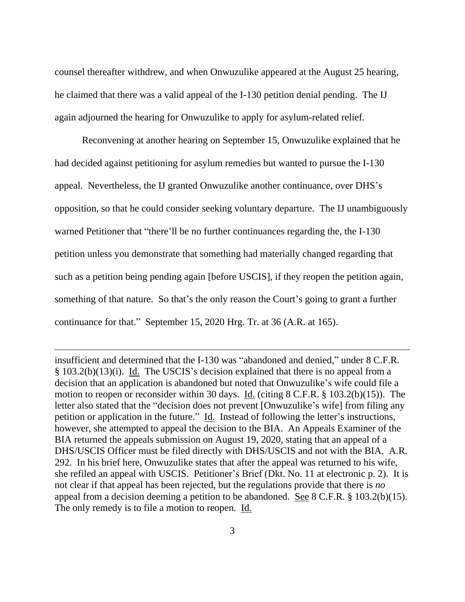counsel thereafter withdrew, and when Onwuzulike appeared at the August 25 hearing, he claimed that there was a valid appeal of the I-130 petition denial pending. The IJ again adjourned the hearing for Onwuzulike to apply for asylum-related relief.

Reconvening at another hearing on September 15, Onwuzulike explained that he had decided against petitioning for asylum remedies but wanted to pursue the I-130 appeal. Nevertheless, the IJ granted Onwuzulike another continuance, over DHS's opposition, so that he could consider seeking voluntary departure. The IJ unambiguously warned Petitioner that "there'll be no further continuances regarding the, the I-130 petition unless you demonstrate that something had materially changed regarding that such as a petition being pending again [before USCIS], if they reopen the petition again, something of that nature. So that's the only reason the Court's going to grant a further continuance for that." September 15, 2020 Hrg. Tr. at 36 (A.R. at 165).

insufficient and determined that the I-130 was "abandoned and denied," under 8 C.F.R. § 103.2(b)(13)(i). Id. The USCIS's decision explained that there is no appeal from a decision that an application is abandoned but noted that Onwuzulike's wife could file a motion to reopen or reconsider within 30 days. Id. (citing 8 C.F.R. § 103.2(b)(15)). The letter also stated that the "decision does not prevent [Onwuzulike's wife] from filing any petition or application in the future." Id. Instead of following the letter's instructions, however, she attempted to appeal the decision to the BIA. An Appeals Examiner of the BIA returned the appeals submission on August 19, 2020, stating that an appeal of a DHS/USCIS Officer must be filed directly with DHS/USCIS and not with the BIA. A.R. 292. In his brief here, Onwuzulike states that after the appeal was returned to his wife, she refiled an appeal with USCIS. Petitioner's Brief (Dkt. No. 11 at electronic p. 2). It is not clear if that appeal has been rejected, but the regulations provide that there is *no* appeal from a decision deeming a petition to be abandoned. See 8 C.F.R. § 103.2(b)(15). The only remedy is to file a motion to reopen. Id.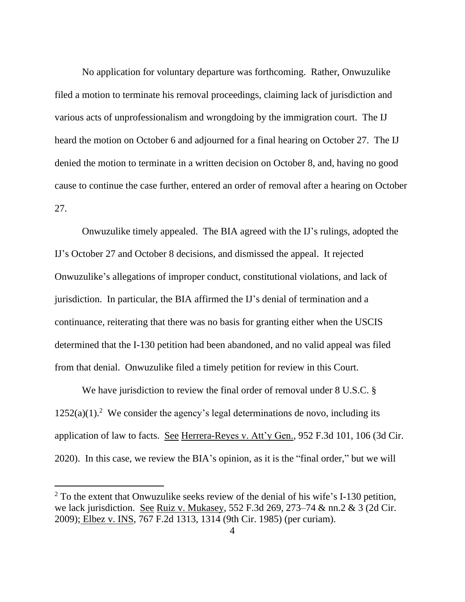No application for voluntary departure was forthcoming. Rather, Onwuzulike filed a motion to terminate his removal proceedings, claiming lack of jurisdiction and various acts of unprofessionalism and wrongdoing by the immigration court. The IJ heard the motion on October 6 and adjourned for a final hearing on October 27. The IJ denied the motion to terminate in a written decision on October 8, and, having no good cause to continue the case further, entered an order of removal after a hearing on October 27.

Onwuzulike timely appealed. The BIA agreed with the IJ's rulings, adopted the IJ's October 27 and October 8 decisions, and dismissed the appeal. It rejected Onwuzulike's allegations of improper conduct, constitutional violations, and lack of jurisdiction. In particular, the BIA affirmed the IJ's denial of termination and a continuance, reiterating that there was no basis for granting either when the USCIS determined that the I-130 petition had been abandoned, and no valid appeal was filed from that denial. Onwuzulike filed a timely petition for review in this Court.

We have jurisdiction to review the final order of removal under 8 U.S.C. §  $1252(a)(1)$ .<sup>2</sup> We consider the agency's legal determinations de novo, including its application of law to facts. See Herrera-Reyes v. Att'y Gen., 952 F.3d 101, 106 (3d Cir. 2020). In this case, we review the BIA's opinion, as it is the "final order," but we will

 $2$  To the extent that Onwuzulike seeks review of the denial of his wife's I-130 petition, we lack jurisdiction. See Ruiz v. Mukasey, 552 F.3d 269, 273–74 & nn.2 & 3 (2d Cir. 2009); Elbez v. INS, 767 F.2d 1313, 1314 (9th Cir. 1985) (per curiam).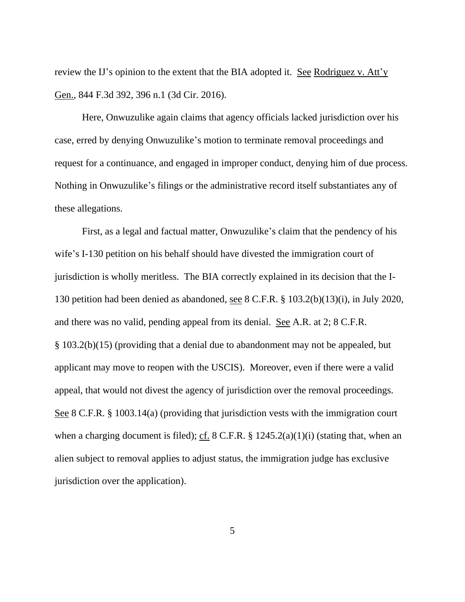review the IJ's opinion to the extent that the BIA adopted it. See Rodriguez v. Att'y Gen., 844 F.3d 392, 396 n.1 (3d Cir. 2016).

Here, Onwuzulike again claims that agency officials lacked jurisdiction over his case, erred by denying Onwuzulike's motion to terminate removal proceedings and request for a continuance, and engaged in improper conduct, denying him of due process. Nothing in Onwuzulike's filings or the administrative record itself substantiates any of these allegations.

First, as a legal and factual matter, Onwuzulike's claim that the pendency of his wife's I-130 petition on his behalf should have divested the immigration court of jurisdiction is wholly meritless. The BIA correctly explained in its decision that the I-130 petition had been denied as abandoned, see 8 C.F.R. § 103.2(b)(13)(i), in July 2020, and there was no valid, pending appeal from its denial. See A.R. at 2; 8 C.F.R. § 103.2(b)(15) (providing that a denial due to abandonment may not be appealed, but applicant may move to reopen with the USCIS). Moreover, even if there were a valid appeal, that would not divest the agency of jurisdiction over the removal proceedings. See 8 C.F.R. § 1003.14(a) (providing that jurisdiction vests with the immigration court when a charging document is filed); cf. 8 C.F.R.  $\S$  1245.2(a)(1)(i) (stating that, when an alien subject to removal applies to adjust status, the immigration judge has exclusive jurisdiction over the application).

5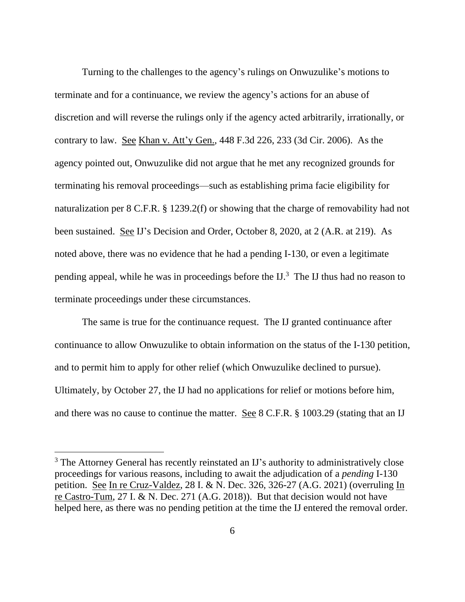Turning to the challenges to the agency's rulings on Onwuzulike's motions to terminate and for a continuance, we review the agency's actions for an abuse of discretion and will reverse the rulings only if the agency acted arbitrarily, irrationally, or contrary to law. See Khan v. Att'y Gen., 448 F.3d 226, 233 (3d Cir. 2006). As the agency pointed out, Onwuzulike did not argue that he met any recognized grounds for terminating his removal proceedings—such as establishing prima facie eligibility for naturalization per 8 C.F.R. § 1239.2(f) or showing that the charge of removability had not been sustained. See IJ's Decision and Order, October 8, 2020, at 2 (A.R. at 219). As noted above, there was no evidence that he had a pending I-130, or even a legitimate pending appeal, while he was in proceedings before the IJ. 3 The IJ thus had no reason to terminate proceedings under these circumstances.

The same is true for the continuance request. The IJ granted continuance after continuance to allow Onwuzulike to obtain information on the status of the I-130 petition, and to permit him to apply for other relief (which Onwuzulike declined to pursue). Ultimately, by October 27, the IJ had no applications for relief or motions before him, and there was no cause to continue the matter. See 8 C.F.R. § 1003.29 (stating that an IJ

<sup>&</sup>lt;sup>3</sup> The Attorney General has recently reinstated an IJ's authority to administratively close proceedings for various reasons, including to await the adjudication of a *pending* I-130 petition. See In re Cruz-Valdez, 28 I. & N. Dec. 326, 326-27 (A.G. 2021) (overruling In re Castro-Tum, 27 I. & N. Dec. 271 (A.G. 2018)). But that decision would not have helped here, as there was no pending petition at the time the IJ entered the removal order.